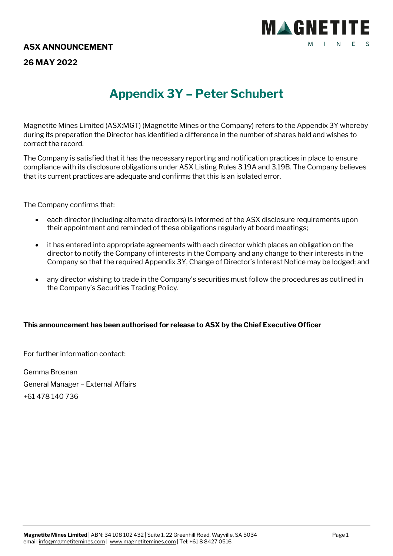

## **26 MAY 2022**

# **Appendix 3Y – Peter Schubert**

Magnetite Mines Limited (ASX:MGT) (Magnetite Mines or the Company) refers to the Appendix 3Y whereby during its preparation the Director has identified a difference in the number of shares held and wishes to correct the record.

The Company is satisfied that it has the necessary reporting and notification practices in place to ensure compliance with its disclosure obligations under ASX Listing Rules 3.19A and 3.19B. The Company believes that its current practices are adequate and confirms that this is an isolated error.

The Company confirms that:

- each director (including alternate directors) is informed of the ASX disclosure requirements upon their appointment and reminded of these obligations regularly at board meetings;
- it has entered into appropriate agreements with each director which places an obligation on the director to notify the Company of interests in the Company and any change to their interests in the Company so that the required Appendix 3Y, Change of Director's Interest Notice may be lodged; and
- any director wishing to trade in the Company's securities must follow the procedures as outlined in the Company's Securities Trading Policy.

### **This announcement has been authorised for release to ASX by the Chief Executive Officer**

For further information contact:

Gemma Brosnan General Manager – External Affairs +61 478 140 736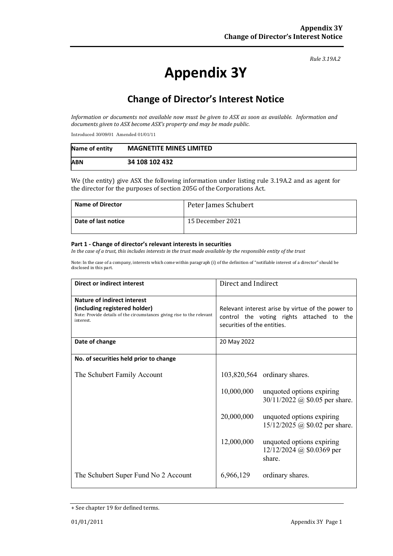#### *Rule 3.19A.2*

# **Appendix 3Y**

# **Change of Director's Interest Notice**

*Information or documents not available now must be given to ASX as soon as available. Information and documents given to ASX become ASX's property and may be made public.*

Introduced 30/09/01 Amended 01/01/11

| Name of entity | <b>MAGNETITE MINES LIMITED</b> |
|----------------|--------------------------------|
| <b>ABN</b>     | 34 108 102 432                 |

We (the entity) give ASX the following information under listing rule 3.19A.2 and as agent for the director for the purposes of section 205G of the Corporations Act.

| <b>Name of Director</b> | Peter James Schubert |
|-------------------------|----------------------|
| Date of last notice     | 15 December 2021     |

#### **Part 1 - Change of director's relevant interests in securities**

*In the case of a trust, this includes interests in the trust made available by the responsible entity of the trust*

Note: In the case of a company, interests which come within paragraph (i) of the definition of "notifiable interest of a director" should be disclosed in this part.

| <b>Direct or indirect interest</b>                                                                                                                  | Direct and Indirect                                                                                                           |                                                                    |
|-----------------------------------------------------------------------------------------------------------------------------------------------------|-------------------------------------------------------------------------------------------------------------------------------|--------------------------------------------------------------------|
| Nature of indirect interest<br>(including registered holder)<br>Note: Provide details of the circumstances giving rise to the relevant<br>interest. | Relevant interest arise by virtue of the power to<br>control the voting rights attached to the<br>securities of the entities. |                                                                    |
| Date of change                                                                                                                                      | 20 May 2022                                                                                                                   |                                                                    |
| No. of securities held prior to change                                                                                                              |                                                                                                                               |                                                                    |
| The Schubert Family Account                                                                                                                         |                                                                                                                               | 103,820,564 ordinary shares.                                       |
|                                                                                                                                                     | 10,000,000                                                                                                                    | unquoted options expiring<br>30/11/2022 @ \$0.05 per share.        |
|                                                                                                                                                     | 20,000,000                                                                                                                    | unquoted options expiring<br>$15/12/2025$ @ \$0.02 per share.      |
|                                                                                                                                                     | 12,000,000                                                                                                                    | unquoted options expiring<br>$12/12/2024$ @ \$0.0369 per<br>share. |
| The Schubert Super Fund No 2 Account                                                                                                                | 6,966,129                                                                                                                     | ordinary shares.                                                   |

<sup>+</sup> See chapter 19 for defined terms.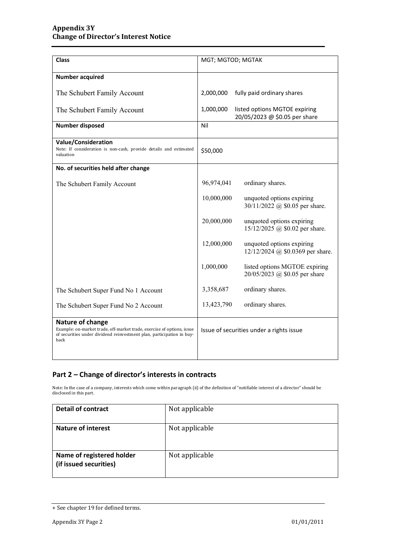| <b>Class</b>                                                                                                                                                                | MGT; MGTOD; MGTAK                                                           |  |
|-----------------------------------------------------------------------------------------------------------------------------------------------------------------------------|-----------------------------------------------------------------------------|--|
| <b>Number acquired</b>                                                                                                                                                      |                                                                             |  |
| The Schubert Family Account                                                                                                                                                 | 2,000,000<br>fully paid ordinary shares                                     |  |
| The Schubert Family Account                                                                                                                                                 | 1,000,000<br>listed options MGTOE expiring<br>20/05/2023 @ \$0.05 per share |  |
| <b>Number disposed</b>                                                                                                                                                      | Nil                                                                         |  |
| <b>Value/Consideration</b><br>Note: If consideration is non-cash, provide details and estimated<br>valuation                                                                | \$50,000                                                                    |  |
| No. of securities held after change                                                                                                                                         |                                                                             |  |
| The Schubert Family Account                                                                                                                                                 | 96,974,041<br>ordinary shares.                                              |  |
|                                                                                                                                                                             | 10,000,000<br>unquoted options expiring<br>30/11/2022 @ \$0.05 per share.   |  |
|                                                                                                                                                                             | 20,000,000<br>unquoted options expiring<br>15/12/2025 @ \$0.02 per share.   |  |
|                                                                                                                                                                             | 12,000,000<br>unquoted options expiring<br>12/12/2024 @ \$0.0369 per share. |  |
|                                                                                                                                                                             | 1,000,000<br>listed options MGTOE expiring<br>20/05/2023 @ \$0.05 per share |  |
| The Schubert Super Fund No 1 Account                                                                                                                                        | 3,358,687<br>ordinary shares.                                               |  |
| The Schubert Super Fund No 2 Account                                                                                                                                        | 13,423,790<br>ordinary shares.                                              |  |
| Nature of change<br>Example: on-market trade, off-market trade, exercise of options, issue<br>of securities under dividend reinvestment plan, participation in buy-<br>back | Issue of securities under a rights issue                                    |  |

### **Part 2 – Change of director's interests in contracts**

Note: In the case of a company, interests which come within paragraph (ii) of the definition of "notifiable interest of a director" should be disclosed in this part.

| <b>Detail of contract</b>                           | Not applicable |
|-----------------------------------------------------|----------------|
| <b>Nature of interest</b>                           | Not applicable |
| Name of registered holder<br>(if issued securities) | Not applicable |

<sup>+</sup> See chapter 19 for defined terms.